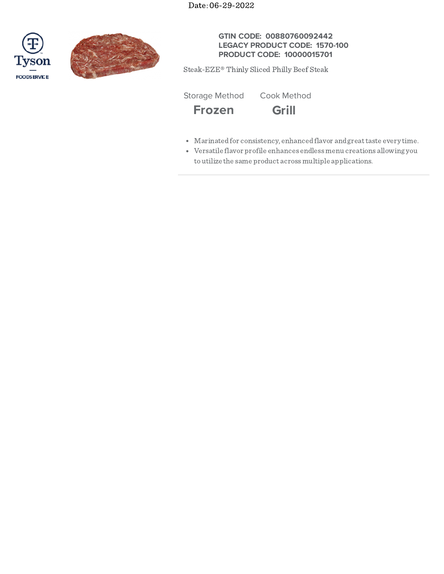Date: 06-29-2022





# **GTIN CODE: 00880760092442 LEGACY PRODUCT CODE: 1570-100 PRODUCT CODE: 10000015701**

Steak-EZE® Thinly Sliced Philly Beef Steak

Storage Method Cook Method



- 
- Marinatedfor consistency, enhancedflavor andgreattaste every time.
- Versatile flavor profile enhances endlessmenu creations allowing you toutilize the same product acrossmultiple applications.